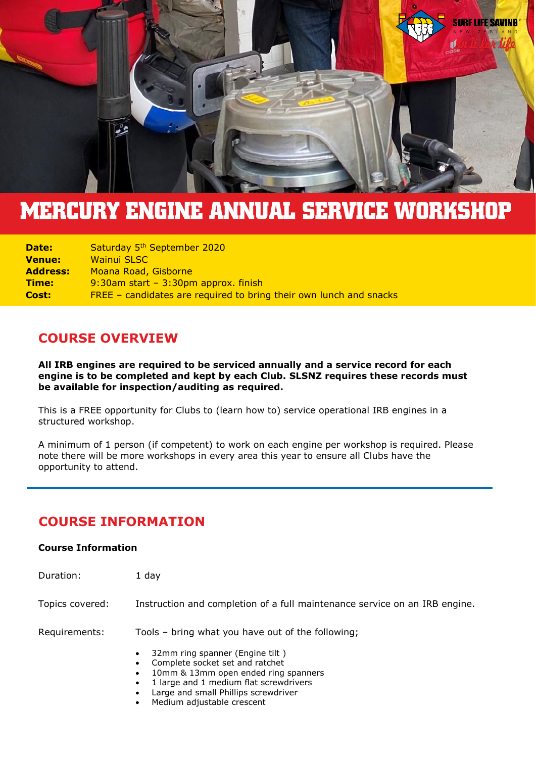

# **MERCURY ENGINE ANNUAL SERVICE WORKSHOP**

| Date:           | Saturday 5 <sup>th</sup> September 2020                            |
|-----------------|--------------------------------------------------------------------|
| <b>Venue:</b>   | <b>Wainui SLSC</b>                                                 |
| <b>Address:</b> | Moana Road, Gisborne                                               |
| <b>Time:</b>    | 9:30am start - 3:30pm approx. finish                               |
| Cost:           | FREE – candidates are required to bring their own lunch and snacks |

## **COURSE OVERVIEW**

**All IRB engines are required to be serviced annually and a service record for each engine is to be completed and kept by each Club. SLSNZ requires these records must be available for inspection/auditing as required.**

This is a FREE opportunity for Clubs to (learn how to) service operational IRB engines in a structured workshop.

A minimum of 1 person (if competent) to work on each engine per workshop is required. Please note there will be more workshops in every area this year to ensure all Clubs have the opportunity to attend.

# **COURSE INFORMATION**

#### **Course Information**

| Duration:       | 1 day                                                                                                                                                                  |
|-----------------|------------------------------------------------------------------------------------------------------------------------------------------------------------------------|
| Topics covered: | Instruction and completion of a full maintenance service on an IRB engine.                                                                                             |
| Requirements:   | Tools - bring what you have out of the following;<br>32mm ring spanner (Engine tilt)<br>$\bullet$                                                                      |
|                 | Complete socket set and ratchet<br>10mm & 13mm open ended ring spanners<br>1 large and 1 medium flat screwdrivers<br>$\bullet$<br>Large and small Phillips screwdriver |

Medium adjustable crescent